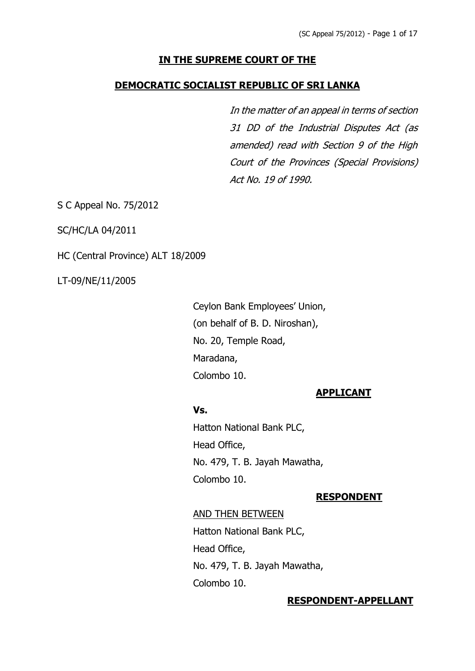# **IN THE SUPREME COURT OF THE**

## **DEMOCRATIC SOCIALIST REPUBLIC OF SRI LANKA**

In the matter of an appeal in terms of section 31 DD of the Industrial Disputes Act (as amended) read with Section 9 of the High Court of the Provinces (Special Provisions) Act No. 19 of 1990.

S C Appeal No. 75/2012

SC/HC/LA 04/2011

HC (Central Province) ALT 18/2009

LT-09/NE/11/2005

Ceylon Bank Employees' Union, (on behalf of B. D. Niroshan), No. 20, Temple Road, Maradana, Colombo 10.

### **APPLICANT**

### **Vs.**

Hatton National Bank PLC, Head Office, No. 479, T. B. Jayah Mawatha, Colombo 10.

### **RESPONDENT**

### AND THEN BETWEEN

Hatton National Bank PLC, Head Office, No. 479, T. B. Jayah Mawatha, Colombo 10.

### **RESPONDENT-APPELLANT**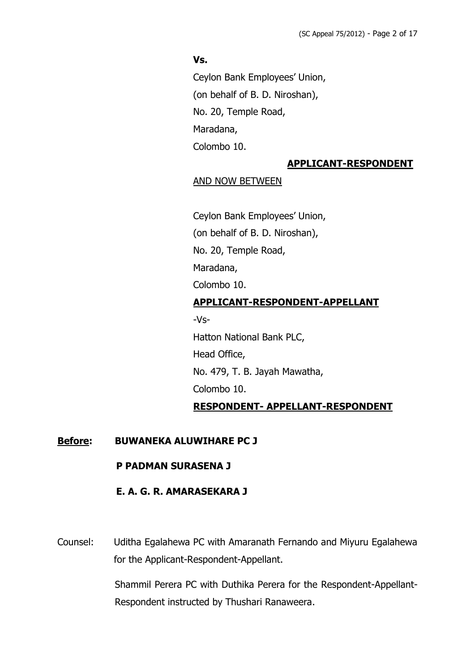### **Vs.**

Ceylon Bank Employees' Union, (on behalf of B. D. Niroshan), No. 20, Temple Road, Maradana, Colombo 10.

## **APPLICANT-RESPONDENT**

#### AND NOW BETWEEN

Ceylon Bank Employees' Union, (on behalf of B. D. Niroshan), No. 20, Temple Road, Maradana, Colombo 10. **APPLICANT-RESPONDENT-APPELLANT** -Vs-Hatton National Bank PLC, Head Office, No. 479, T. B. Jayah Mawatha,

Colombo 10.

## **RESPONDENT- APPELLANT-RESPONDENT**

## **Before: BUWANEKA ALUWIHARE PC J**

#### **P PADMAN SURASENA J**

## **E. A. G. R. AMARASEKARA J**

Counsel: Uditha Egalahewa PC with Amaranath Fernando and Miyuru Egalahewa for the Applicant-Respondent-Appellant.

> Shammil Perera PC with Duthika Perera for the Respondent-Appellant-Respondent instructed by Thushari Ranaweera.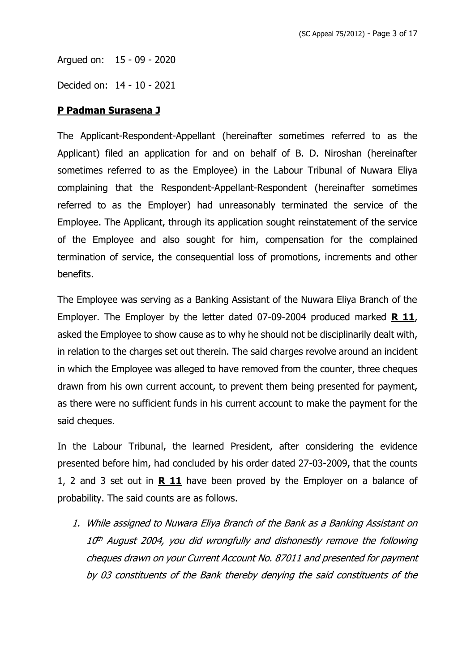Argued on: 15 - 09 - 2020

Decided on: 14 - 10 - 2021

### **P Padman Surasena J**

The Applicant-Respondent-Appellant (hereinafter sometimes referred to as the Applicant) filed an application for and on behalf of B. D. Niroshan (hereinafter sometimes referred to as the Employee) in the Labour Tribunal of Nuwara Eliya complaining that the Respondent-Appellant-Respondent (hereinafter sometimes referred to as the Employer) had unreasonably terminated the service of the Employee. The Applicant, through its application sought reinstatement of the service of the Employee and also sought for him, compensation for the complained termination of service, the consequential loss of promotions, increments and other benefits.

The Employee was serving as a Banking Assistant of the Nuwara Eliya Branch of the Employer. The Employer by the letter dated 07-09-2004 produced marked **R 11**, asked the Employee to show cause as to why he should not be disciplinarily dealt with, in relation to the charges set out therein. The said charges revolve around an incident in which the Employee was alleged to have removed from the counter, three cheques drawn from his own current account, to prevent them being presented for payment, as there were no sufficient funds in his current account to make the payment for the said cheques.

In the Labour Tribunal, the learned President, after considering the evidence presented before him, had concluded by his order dated 27-03-2009, that the counts 1, 2 and 3 set out in **R 11** have been proved by the Employer on a balance of probability. The said counts are as follows.

1. While assigned to Nuwara Eliya Branch of the Bank as a Banking Assistant on 10 th August 2004, you did wrongfully and dishonestly remove the following cheques drawn on your Current Account No. 87011 and presented for payment by 03 constituents of the Bank thereby denying the said constituents of the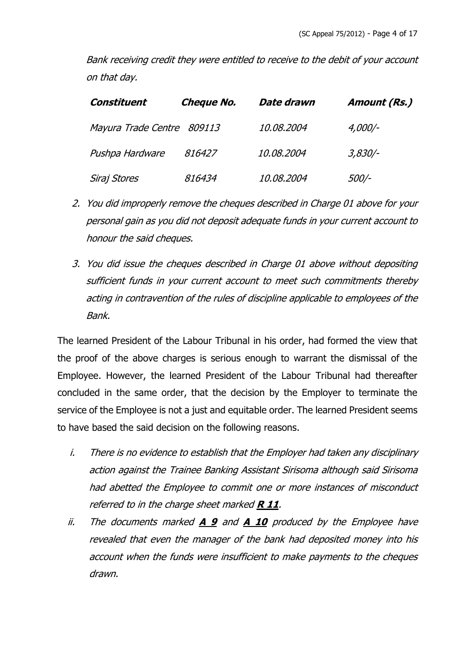Bank receiving credit they were entitled to receive to the debit of your account on that day.

| Constituent                | <b>Cheque No.</b> | Date drawn        | Amount (Rs.) |
|----------------------------|-------------------|-------------------|--------------|
| Mayura Trade Centre 809113 |                   | <i>10.08.2004</i> | 4,000/-      |
| Pushpa Hardware            | 816427            | 10.08.2004        | 3,830/-      |
| Siraj Stores               | 816434            | <i>10.08.2004</i> | 500/-        |

- 2. You did improperly remove the cheques described in Charge 01 above for your personal gain as you did not deposit adequate funds in your current account to honour the said cheques.
- 3. You did issue the cheques described in Charge 01 above without depositing sufficient funds in your current account to meet such commitments thereby acting in contravention of the rules of discipline applicable to employees of the Bank.

The learned President of the Labour Tribunal in his order, had formed the view that the proof of the above charges is serious enough to warrant the dismissal of the Employee. However, the learned President of the Labour Tribunal had thereafter concluded in the same order, that the decision by the Employer to terminate the service of the Employee is not a just and equitable order. The learned President seems to have based the said decision on the following reasons.

- i. There is no evidence to establish that the Employer had taken any disciplinary action against the Trainee Banking Assistant Sirisoma although said Sirisoma had abetted the Employee to commit one or more instances of misconduct referred to in the charge sheet marked **R 11**.
- ii. The documents marked **A 9** and **A 10** produced by the Employee have revealed that even the manager of the bank had deposited money into his account when the funds were insufficient to make payments to the cheques drawn.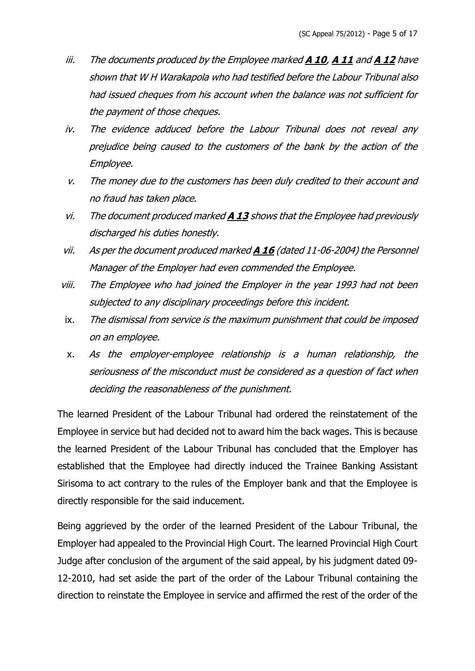- iii. The documents produced by the Employee marked **A 10**, **A 11** and **A 12** have shown that W H Warakapola who had testified before the Labour Tribunal also had issued cheques from his account when the balance was not sufficient for the payment of those cheques.
- iv. The evidence adduced before the Labour Tribunal does not reveal any prejudice being caused to the customers of the bank by the action of the Employee.
- v. The money due to the customers has been duly credited to their account and no fraud has taken place.
- vi. The document produced marked **A 13** shows that the Employee had previously discharged his duties honestly.
- vii. As per the document produced marked **A 16** (dated 11-06-2004) the Personnel Manager of the Employer had even commended the Employee.
- viii. The Employee who had joined the Employer in the year 1993 had not been subjected to any disciplinary proceedings before this incident.
- ix. The dismissal from service is the maximum punishment that could be imposed on an employee.
- x. As the employer-employee relationship is a human relationship, the seriousness of the misconduct must be considered as a question of fact when deciding the reasonableness of the punishment.

The learned President of the Labour Tribunal had ordered the reinstatement of the Employee in service but had decided not to award him the back wages. This is because the learned President of the Labour Tribunal has concluded that the Employer has established that the Employee had directly induced the Trainee Banking Assistant Sirisoma to act contrary to the rules of the Employer bank and that the Employee is directly responsible for the said inducement.

Being aggrieved by the order of the learned President of the Labour Tribunal, the Employer had appealed to the Provincial High Court. The learned Provincial High Court Judge after conclusion of the argument of the said appeal, by his judgment dated 09- 12-2010, had set aside the part of the order of the Labour Tribunal containing the direction to reinstate the Employee in service and affirmed the rest of the order of the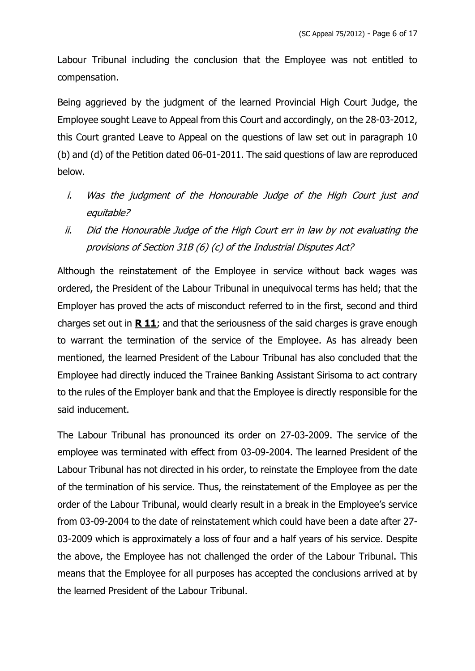Labour Tribunal including the conclusion that the Employee was not entitled to compensation.

Being aggrieved by the judgment of the learned Provincial High Court Judge, the Employee sought Leave to Appeal from this Court and accordingly, on the 28-03-2012, this Court granted Leave to Appeal on the questions of law set out in paragraph 10 (b) and (d) of the Petition dated 06-01-2011. The said questions of law are reproduced below.

- i. Was the judgment of the Honourable Judge of the High Court just and equitable?
- ii. Did the Honourable Judge of the High Court err in law by not evaluating the provisions of Section 31B (6) (c) of the Industrial Disputes Act?

Although the reinstatement of the Employee in service without back wages was ordered, the President of the Labour Tribunal in unequivocal terms has held; that the Employer has proved the acts of misconduct referred to in the first, second and third charges set out in **R 11**; and that the seriousness of the said charges is grave enough to warrant the termination of the service of the Employee. As has already been mentioned, the learned President of the Labour Tribunal has also concluded that the Employee had directly induced the Trainee Banking Assistant Sirisoma to act contrary to the rules of the Employer bank and that the Employee is directly responsible for the said inducement.

The Labour Tribunal has pronounced its order on 27-03-2009. The service of the employee was terminated with effect from 03-09-2004. The learned President of the Labour Tribunal has not directed in his order, to reinstate the Employee from the date of the termination of his service. Thus, the reinstatement of the Employee as per the order of the Labour Tribunal, would clearly result in a break in the Employee's service from 03-09-2004 to the date of reinstatement which could have been a date after 27- 03-2009 which is approximately a loss of four and a half years of his service. Despite the above, the Employee has not challenged the order of the Labour Tribunal. This means that the Employee for all purposes has accepted the conclusions arrived at by the learned President of the Labour Tribunal.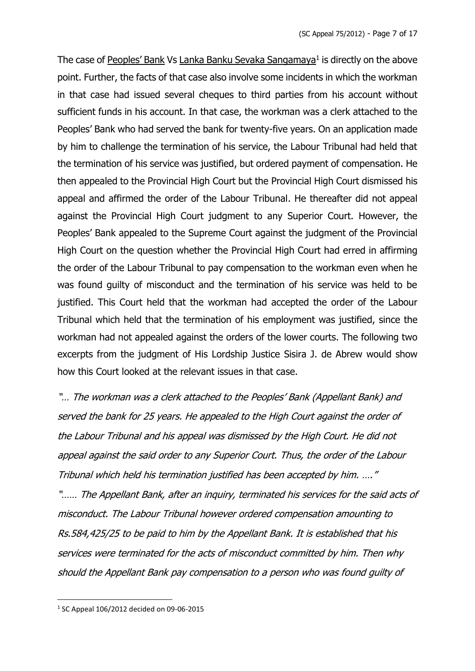The case of Peoples' Bank Vs Lanka Banku Sevaka Sangamaya<sup>1</sup> is directly on the above point. Further, the facts of that case also involve some incidents in which the workman in that case had issued several cheques to third parties from his account without sufficient funds in his account. In that case, the workman was a clerk attached to the Peoples' Bank who had served the bank for twenty-five years. On an application made by him to challenge the termination of his service, the Labour Tribunal had held that the termination of his service was justified, but ordered payment of compensation. He then appealed to the Provincial High Court but the Provincial High Court dismissed his appeal and affirmed the order of the Labour Tribunal. He thereafter did not appeal against the Provincial High Court judgment to any Superior Court. However, the Peoples' Bank appealed to the Supreme Court against the judgment of the Provincial High Court on the question whether the Provincial High Court had erred in affirming the order of the Labour Tribunal to pay compensation to the workman even when he was found guilty of misconduct and the termination of his service was held to be justified. This Court held that the workman had accepted the order of the Labour Tribunal which held that the termination of his employment was justified, since the workman had not appealed against the orders of the lower courts. The following two excerpts from the judgment of His Lordship Justice Sisira J. de Abrew would show how this Court looked at the relevant issues in that case.

"… The workman was a clerk attached to the Peoples' Bank (Appellant Bank) and served the bank for 25 years. He appealed to the High Court against the order of the Labour Tribunal and his appeal was dismissed by the High Court. He did not appeal against the said order to any Superior Court. Thus, the order of the Labour Tribunal which held his termination justified has been accepted by him. …." "…… The Appellant Bank, after an inquiry, terminated his services for the said acts of misconduct. The Labour Tribunal however ordered compensation amounting to Rs.584,425/25 to be paid to him by the Appellant Bank. It is established that his services were terminated for the acts of misconduct committed by him. Then why should the Appellant Bank pay compensation to a person who was found guilty of

<sup>1</sup> SC Appeal 106/2012 decided on 09-06-2015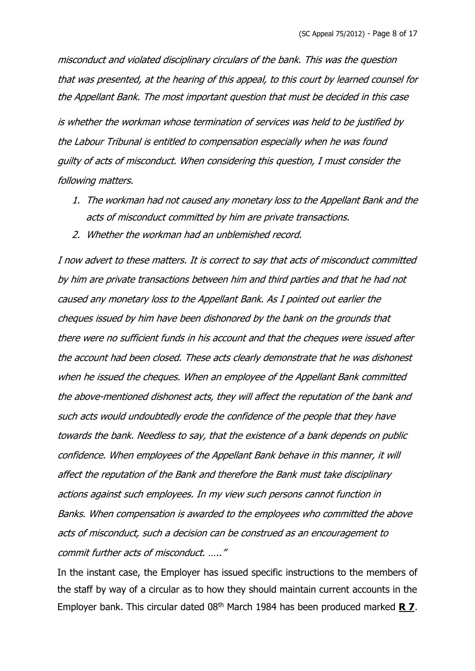misconduct and violated disciplinary circulars of the bank. This was the question that was presented, at the hearing of this appeal, to this court by learned counsel for the Appellant Bank. The most important question that must be decided in this case is whether the workman whose termination of services was held to be justified by the Labour Tribunal is entitled to compensation especially when he was found guilty of acts of misconduct. When considering this question, I must consider the following matters.

- 1. The workman had not caused any monetary loss to the Appellant Bank and the acts of misconduct committed by him are private transactions.
- 2. Whether the workman had an unblemished record.

I now advert to these matters. It is correct to say that acts of misconduct committed by him are private transactions between him and third parties and that he had not caused any monetary loss to the Appellant Bank. As I pointed out earlier the cheques issued by him have been dishonored by the bank on the grounds that there were no sufficient funds in his account and that the cheques were issued after the account had been closed. These acts clearly demonstrate that he was dishonest when he issued the cheques. When an employee of the Appellant Bank committed the above-mentioned dishonest acts, they will affect the reputation of the bank and such acts would undoubtedly erode the confidence of the people that they have towards the bank. Needless to say, that the existence of a bank depends on public confidence. When employees of the Appellant Bank behave in this manner, it will affect the reputation of the Bank and therefore the Bank must take disciplinary actions against such employees. In my view such persons cannot function in Banks. When compensation is awarded to the employees who committed the above acts of misconduct, such a decision can be construed as an encouragement to commit further acts of misconduct. ….."

In the instant case, the Employer has issued specific instructions to the members of the staff by way of a circular as to how they should maintain current accounts in the Employer bank. This circular dated 08th March 1984 has been produced marked **R 7**.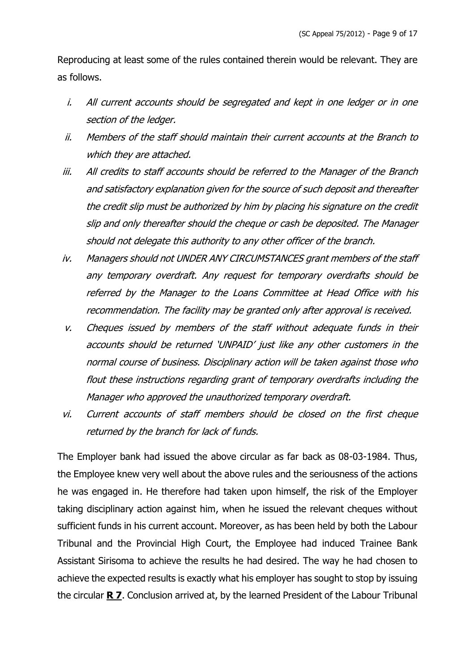Reproducing at least some of the rules contained therein would be relevant. They are as follows.

- i. All current accounts should be segregated and kept in one ledger or in one section of the ledger.
- ii. Members of the staff should maintain their current accounts at the Branch to which they are attached.
- iii. All credits to staff accounts should be referred to the Manager of the Branch and satisfactory explanation given for the source of such deposit and thereafter the credit slip must be authorized by him by placing his signature on the credit slip and only thereafter should the cheque or cash be deposited. The Manager should not delegate this authority to any other officer of the branch.
- iv. Managers should not UNDER ANY CIRCUMSTANCES grant members of the staff any temporary overdraft. Any request for temporary overdrafts should be referred by the Manager to the Loans Committee at Head Office with his recommendation. The facility may be granted only after approval is received.
- v. Cheques issued by members of the staff without adequate funds in their accounts should be returned 'UNPAID' just like any other customers in the normal course of business. Disciplinary action will be taken against those who flout these instructions regarding grant of temporary overdrafts including the Manager who approved the unauthorized temporary overdraft.
- vi. Current accounts of staff members should be closed on the first cheque returned by the branch for lack of funds.

The Employer bank had issued the above circular as far back as 08-03-1984. Thus, the Employee knew very well about the above rules and the seriousness of the actions he was engaged in. He therefore had taken upon himself, the risk of the Employer taking disciplinary action against him, when he issued the relevant cheques without sufficient funds in his current account. Moreover, as has been held by both the Labour Tribunal and the Provincial High Court, the Employee had induced Trainee Bank Assistant Sirisoma to achieve the results he had desired. The way he had chosen to achieve the expected results is exactly what his employer has sought to stop by issuing the circular **R 7**. Conclusion arrived at, by the learned President of the Labour Tribunal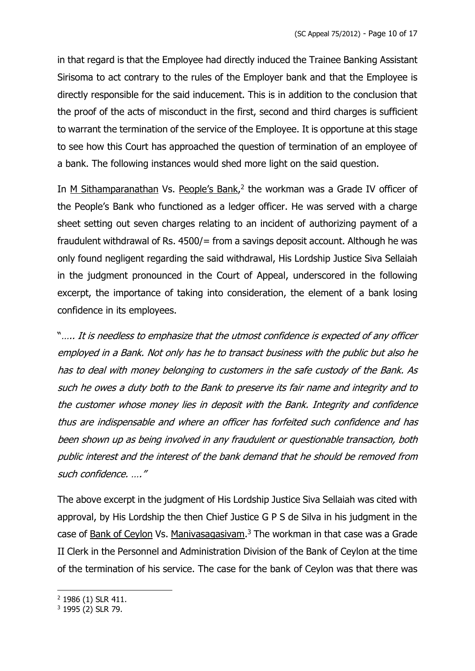in that regard is that the Employee had directly induced the Trainee Banking Assistant Sirisoma to act contrary to the rules of the Employer bank and that the Employee is directly responsible for the said inducement. This is in addition to the conclusion that the proof of the acts of misconduct in the first, second and third charges is sufficient to warrant the termination of the service of the Employee. It is opportune at this stage to see how this Court has approached the question of termination of an employee of a bank. The following instances would shed more light on the said question.

In M Sithamparanathan Vs. People's Bank,<sup>2</sup> the workman was a Grade IV officer of the People's Bank who functioned as a ledger officer. He was served with a charge sheet setting out seven charges relating to an incident of authorizing payment of a fraudulent withdrawal of Rs. 4500/= from a savings deposit account. Although he was only found negligent regarding the said withdrawal, His Lordship Justice Siva Sellaiah in the judgment pronounced in the Court of Appeal, underscored in the following excerpt, the importance of taking into consideration, the element of a bank losing confidence in its employees.

"….. It is needless to emphasize that the utmost confidence is expected of any officer employed in a Bank. Not only has he to transact business with the public but also he has to deal with money belonging to customers in the safe custody of the Bank. As such he owes a duty both to the Bank to preserve its fair name and integrity and to the customer whose money lies in deposit with the Bank. Integrity and confidence thus are indispensable and where an officer has forfeited such confidence and has been shown up as being involved in any fraudulent or questionable transaction, both public interest and the interest of the bank demand that he should be removed from such confidence. …."

The above excerpt in the judgment of His Lordship Justice Siva Sellaiah was cited with approval, by His Lordship the then Chief Justice G P S de Silva in his judgment in the case of Bank of Ceylon Vs. Manivasagasivam.<sup>3</sup> The workman in that case was a Grade II Clerk in the Personnel and Administration Division of the Bank of Ceylon at the time of the termination of his service. The case for the bank of Ceylon was that there was

<sup>2</sup> 1986 (1) SLR 411.

<sup>3</sup> 1995 (2) SLR 79.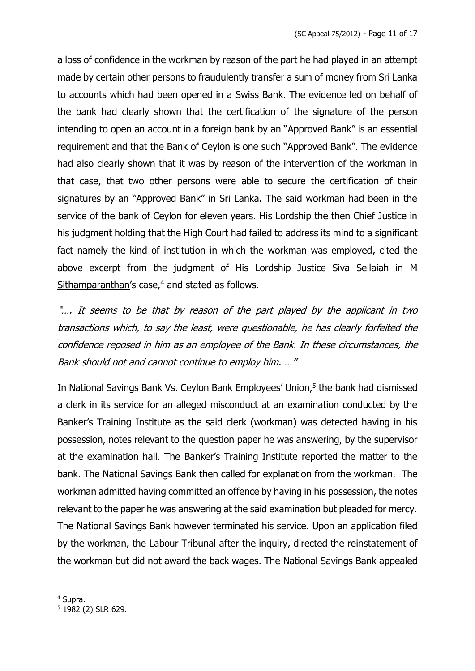a loss of confidence in the workman by reason of the part he had played in an attempt made by certain other persons to fraudulently transfer a sum of money from Sri Lanka to accounts which had been opened in a Swiss Bank. The evidence led on behalf of the bank had clearly shown that the certification of the signature of the person intending to open an account in a foreign bank by an "Approved Bank" is an essential requirement and that the Bank of Ceylon is one such "Approved Bank". The evidence had also clearly shown that it was by reason of the intervention of the workman in that case, that two other persons were able to secure the certification of their signatures by an "Approved Bank" in Sri Lanka. The said workman had been in the service of the bank of Ceylon for eleven years. His Lordship the then Chief Justice in his judgment holding that the High Court had failed to address its mind to a significant fact namely the kind of institution in which the workman was employed, cited the above excerpt from the judgment of His Lordship Justice Siva Sellaiah in M Sithamparanthan's case, $4$  and stated as follows.

"…. It seems to be that by reason of the part played by the applicant in two transactions which, to say the least, were questionable, he has clearly forfeited the confidence reposed in him as an employee of the Bank. In these circumstances, the Bank should not and cannot continue to employ him. …"

In National Savings Bank Vs. Ceylon Bank Employees' Union,<sup>5</sup> the bank had dismissed a clerk in its service for an alleged misconduct at an examination conducted by the Banker's Training Institute as the said clerk (workman) was detected having in his possession, notes relevant to the question paper he was answering, by the supervisor at the examination hall. The Banker's Training Institute reported the matter to the bank. The National Savings Bank then called for explanation from the workman. The workman admitted having committed an offence by having in his possession, the notes relevant to the paper he was answering at the said examination but pleaded for mercy. The National Savings Bank however terminated his service. Upon an application filed by the workman, the Labour Tribunal after the inquiry, directed the reinstatement of the workman but did not award the back wages. The National Savings Bank appealed

<sup>4</sup> Supra.

<sup>5</sup> 1982 (2) SLR 629.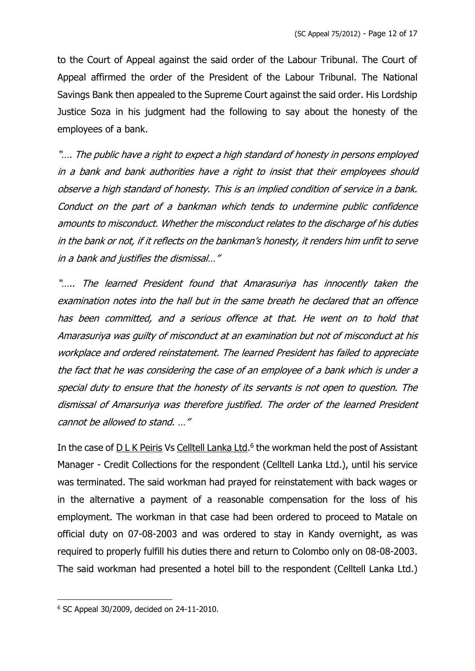to the Court of Appeal against the said order of the Labour Tribunal. The Court of Appeal affirmed the order of the President of the Labour Tribunal. The National Savings Bank then appealed to the Supreme Court against the said order. His Lordship Justice Soza in his judgment had the following to say about the honesty of the employees of a bank.

"…. The public have a right to expect a high standard of honesty in persons employed in a bank and bank authorities have a right to insist that their employees should observe a high standard of honesty. This is an implied condition of service in a bank. Conduct on the part of a bankman which tends to undermine public confidence amounts to misconduct. Whether the misconduct relates to the discharge of his duties in the bank or not, if it reflects on the bankman's honesty, it renders him unfit to serve in a bank and justifies the dismissal…"

"….. The learned President found that Amarasuriya has innocently taken the examination notes into the hall but in the same breath he declared that an offence has been committed, and a serious offence at that. He went on to hold that Amarasuriya was guilty of misconduct at an examination but not of misconduct at his workplace and ordered reinstatement. The learned President has failed to appreciate the fact that he was considering the case of an employee of a bank which is under a special duty to ensure that the honesty of its servants is not open to question. The dismissal of Amarsuriya was therefore justified. The order of the learned President cannot be allowed to stand. …"

In the case of **DLK** Peiris Vs Celltell Lanka Ltd.<sup>6</sup> the workman held the post of Assistant Manager - Credit Collections for the respondent (Celltell Lanka Ltd.), until his service was terminated. The said workman had prayed for reinstatement with back wages or in the alternative a payment of a reasonable compensation for the loss of his employment. The workman in that case had been ordered to proceed to Matale on official duty on 07-08-2003 and was ordered to stay in Kandy overnight, as was required to properly fulfill his duties there and return to Colombo only on 08-08-2003. The said workman had presented a hotel bill to the respondent (Celltell Lanka Ltd.)

<sup>6</sup> SC Appeal 30/2009, decided on 24-11-2010.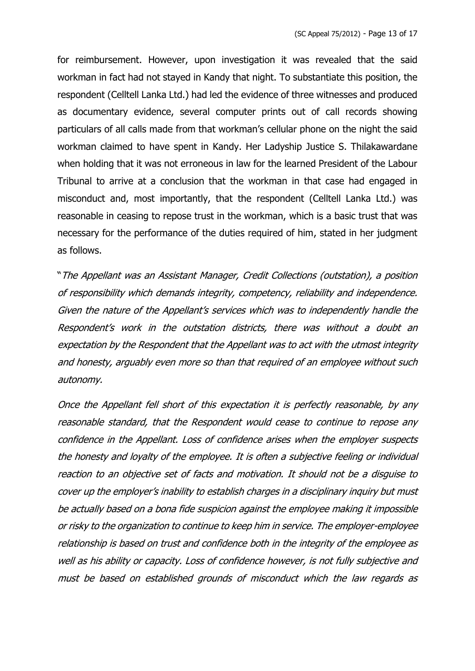for reimbursement. However, upon investigation it was revealed that the said workman in fact had not stayed in Kandy that night. To substantiate this position, the respondent (Celltell Lanka Ltd.) had led the evidence of three witnesses and produced as documentary evidence, several computer prints out of call records showing particulars of all calls made from that workman's cellular phone on the night the said workman claimed to have spent in Kandy. Her Ladyship Justice S. Thilakawardane when holding that it was not erroneous in law for the learned President of the Labour Tribunal to arrive at a conclusion that the workman in that case had engaged in misconduct and, most importantly, that the respondent (Celltell Lanka Ltd.) was reasonable in ceasing to repose trust in the workman, which is a basic trust that was necessary for the performance of the duties required of him, stated in her judgment as follows.

"The Appellant was an Assistant Manager, Credit Collections (outstation), a position of responsibility which demands integrity, competency, reliability and independence. Given the nature of the Appellant's services which was to independently handle the Respondent's work in the outstation districts, there was without a doubt an expectation by the Respondent that the Appellant was to act with the utmost integrity and honesty, arguably even more so than that required of an employee without such autonomy.

Once the Appellant fell short of this expectation it is perfectly reasonable, by any reasonable standard, that the Respondent would cease to continue to repose any confidence in the Appellant. Loss of confidence arises when the employer suspects the honesty and loyalty of the employee. It is often a subjective feeling or individual reaction to an objective set of facts and motivation. It should not be a disguise to cover up the employer's inability to establish charges in a disciplinary inquiry but must be actually based on a bona fide suspicion against the employee making it impossible or risky to the organization to continue to keep him in service. The employer-employee relationship is based on trust and confidence both in the integrity of the employee as well as his ability or capacity. Loss of confidence however, is not fully subjective and must be based on established grounds of misconduct which the law regards as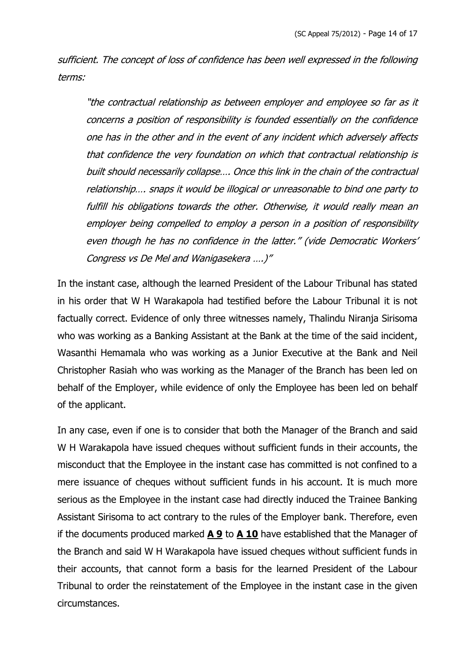sufficient. The concept of loss of confidence has been well expressed in the following terms:

"the contractual relationship as between employer and employee so far as it concerns a position of responsibility is founded essentially on the confidence one has in the other and in the event of any incident which adversely affects that confidence the very foundation on which that contractual relationship is built should necessarily collapse…. Once this link in the chain of the contractual relationship…. snaps it would be illogical or unreasonable to bind one party to fulfill his obligations towards the other. Otherwise, it would really mean an employer being compelled to employ a person in a position of responsibility even though he has no confidence in the latter." (vide Democratic Workers' Congress vs De Mel and Wanigasekera ….)"

In the instant case, although the learned President of the Labour Tribunal has stated in his order that W H Warakapola had testified before the Labour Tribunal it is not factually correct. Evidence of only three witnesses namely, Thalindu Niranja Sirisoma who was working as a Banking Assistant at the Bank at the time of the said incident, Wasanthi Hemamala who was working as a Junior Executive at the Bank and Neil Christopher Rasiah who was working as the Manager of the Branch has been led on behalf of the Employer, while evidence of only the Employee has been led on behalf of the applicant.

In any case, even if one is to consider that both the Manager of the Branch and said W H Warakapola have issued cheques without sufficient funds in their accounts, the misconduct that the Employee in the instant case has committed is not confined to a mere issuance of cheques without sufficient funds in his account. It is much more serious as the Employee in the instant case had directly induced the Trainee Banking Assistant Sirisoma to act contrary to the rules of the Employer bank. Therefore, even if the documents produced marked **A 9** to **A 10** have established that the Manager of the Branch and said W H Warakapola have issued cheques without sufficient funds in their accounts, that cannot form a basis for the learned President of the Labour Tribunal to order the reinstatement of the Employee in the instant case in the given circumstances.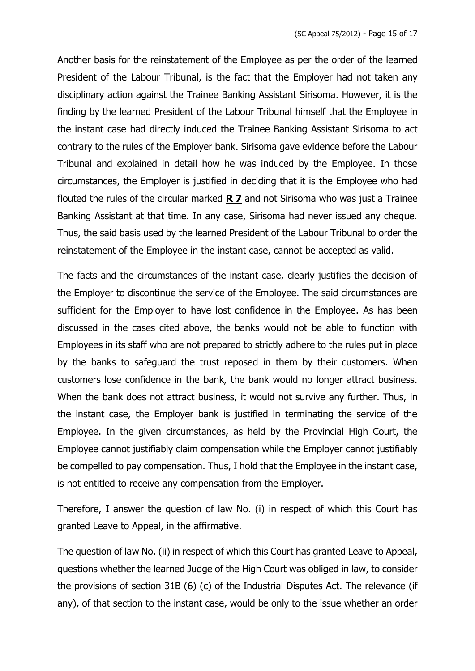Another basis for the reinstatement of the Employee as per the order of the learned President of the Labour Tribunal, is the fact that the Employer had not taken any disciplinary action against the Trainee Banking Assistant Sirisoma. However, it is the finding by the learned President of the Labour Tribunal himself that the Employee in the instant case had directly induced the Trainee Banking Assistant Sirisoma to act contrary to the rules of the Employer bank. Sirisoma gave evidence before the Labour Tribunal and explained in detail how he was induced by the Employee. In those circumstances, the Employer is justified in deciding that it is the Employee who had flouted the rules of the circular marked **R 7** and not Sirisoma who was just a Trainee Banking Assistant at that time. In any case, Sirisoma had never issued any cheque. Thus, the said basis used by the learned President of the Labour Tribunal to order the reinstatement of the Employee in the instant case, cannot be accepted as valid.

The facts and the circumstances of the instant case, clearly justifies the decision of the Employer to discontinue the service of the Employee. The said circumstances are sufficient for the Employer to have lost confidence in the Employee. As has been discussed in the cases cited above, the banks would not be able to function with Employees in its staff who are not prepared to strictly adhere to the rules put in place by the banks to safeguard the trust reposed in them by their customers. When customers lose confidence in the bank, the bank would no longer attract business. When the bank does not attract business, it would not survive any further. Thus, in the instant case, the Employer bank is justified in terminating the service of the Employee. In the given circumstances, as held by the Provincial High Court, the Employee cannot justifiably claim compensation while the Employer cannot justifiably be compelled to pay compensation. Thus, I hold that the Employee in the instant case, is not entitled to receive any compensation from the Employer.

Therefore, I answer the question of law No. (i) in respect of which this Court has granted Leave to Appeal, in the affirmative.

The question of law No. (ii) in respect of which this Court has granted Leave to Appeal, questions whether the learned Judge of the High Court was obliged in law, to consider the provisions of section 31B (6) (c) of the Industrial Disputes Act. The relevance (if any), of that section to the instant case, would be only to the issue whether an order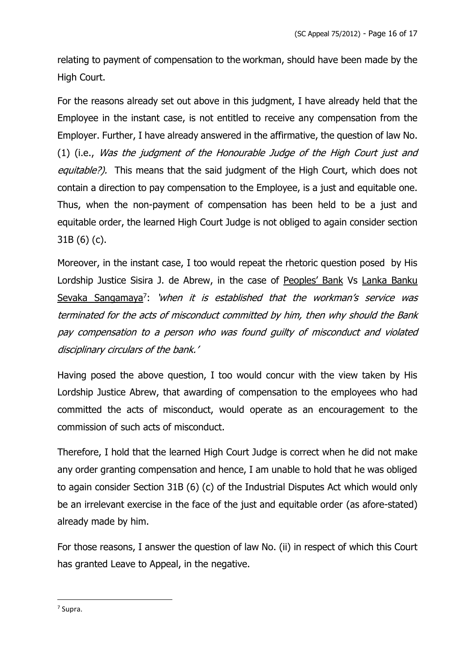relating to payment of compensation to the workman, should have been made by the High Court.

For the reasons already set out above in this judgment, I have already held that the Employee in the instant case, is not entitled to receive any compensation from the Employer. Further, I have already answered in the affirmative, the question of law No. (1) (i.e., Was the judgment of the Honourable Judge of the High Court just and equitable?). This means that the said judgment of the High Court, which does not contain a direction to pay compensation to the Employee, is a just and equitable one. Thus, when the non-payment of compensation has been held to be a just and equitable order, the learned High Court Judge is not obliged to again consider section 31B (6) (c).

Moreover, in the instant case, I too would repeat the rhetoric question posed by His Lordship Justice Sisira J. de Abrew, in the case of Peoples' Bank Vs Lanka Banku Sevaka Sangamaya<sup>7</sup>: 'when it is established that the workman's service was terminated for the acts of misconduct committed by him, then why should the Bank pay compensation to a person who was found guilty of misconduct and violated disciplinary circulars of the bank.'

Having posed the above question, I too would concur with the view taken by His Lordship Justice Abrew, that awarding of compensation to the employees who had committed the acts of misconduct, would operate as an encouragement to the commission of such acts of misconduct.

Therefore, I hold that the learned High Court Judge is correct when he did not make any order granting compensation and hence, I am unable to hold that he was obliged to again consider Section 31B (6) (c) of the Industrial Disputes Act which would only be an irrelevant exercise in the face of the just and equitable order (as afore-stated) already made by him.

For those reasons, I answer the question of law No. (ii) in respect of which this Court has granted Leave to Appeal, in the negative.

7 Supra.